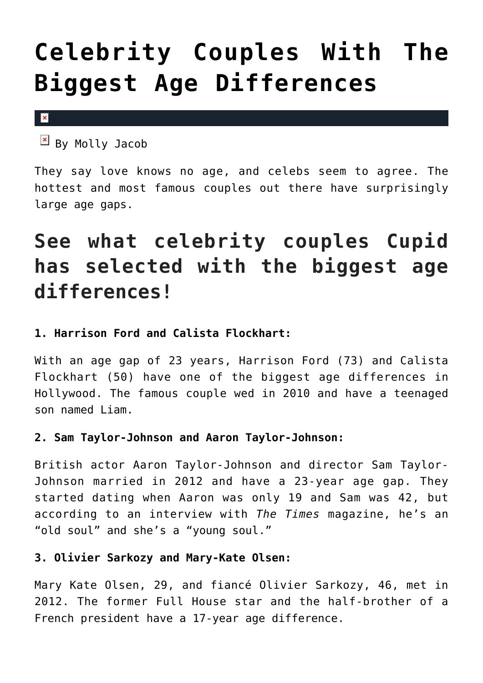# **[Celebrity Couples With The](https://cupidspulse.com/99350/celebrity-couples-famous-couples-biggest-age-differences/) [Biggest Age Differences](https://cupidspulse.com/99350/celebrity-couples-famous-couples-biggest-age-differences/)**

 $\mathbf x$ 

 $\boxed{\times}$  By Molly Jacob

They say love knows no age, and celebs seem to agree. The hottest and most famous couples out there have surprisingly large age gaps.

# **See what celebrity couples Cupid has selected with the biggest age differences!**

# **1. Harrison Ford and Calista Flockhart:**

With an age gap of 23 years, Harrison Ford (73) and Calista Flockhart (50) have one of the biggest age differences in Hollywood. The famous couple wed in 2010 and have a teenaged son named Liam.

# **2. Sam Taylor-Johnson and Aaron Taylor-Johnson:**

British actor Aaron Taylor-Johnson and director Sam Taylor-Johnson married in 2012 and have a 23-year age gap. They started dating when Aaron was only 19 and Sam was 42, but according to an interview with *The Times* magazine, he's an "old soul" and she's a "young soul."

# **3. Olivier Sarkozy and Mary-Kate Olsen:**

Mary Kate Olsen, 29, and fiancé Olivier Sarkozy, 46, met in 2012. The former Full House star and the half-brother of a French president have a 17-year age difference.